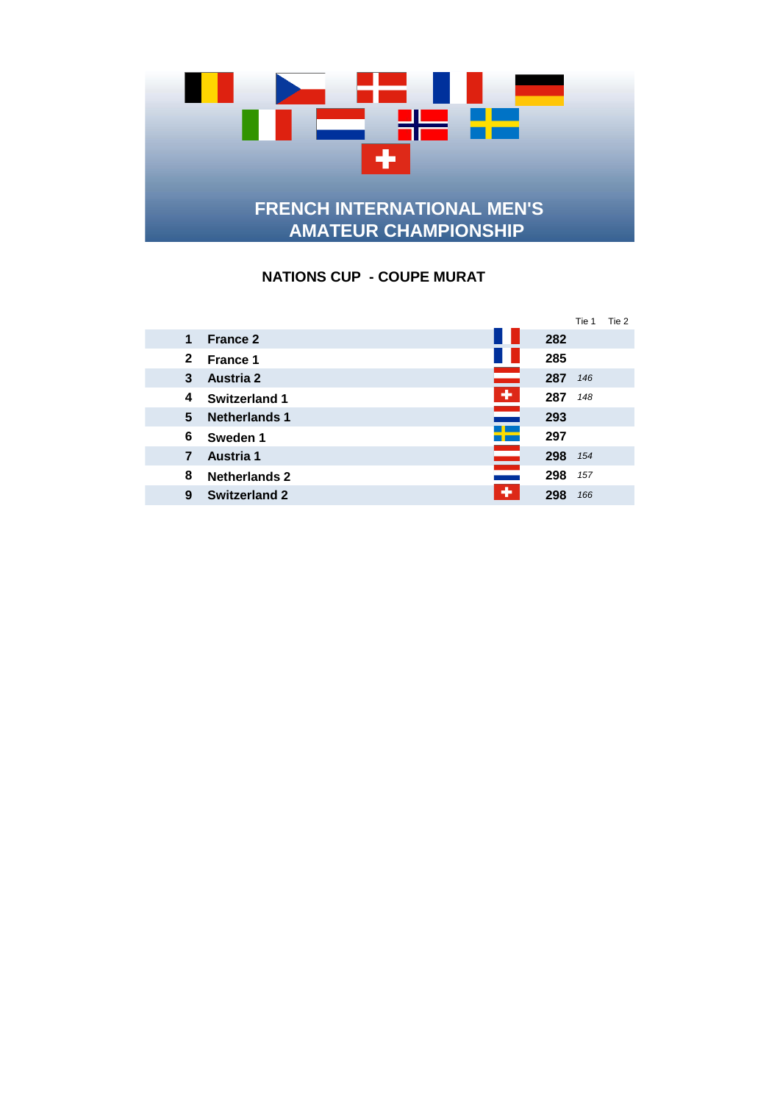

## **NATIONS CUP - COUPE MURAT**

|              |                                              |     | Tie 1 | Tie 2 |
|--------------|----------------------------------------------|-----|-------|-------|
| 1            | <b>France 2</b>                              | 282 |       |       |
| $\mathbf{2}$ | <b>France 1</b>                              | 285 |       |       |
| 3            | <b>Austria 2</b>                             | 287 | 146   |       |
| 4            | $\ddot{\phantom{1}}$<br><b>Switzerland 1</b> | 287 | 148   |       |
| 5            | an an<br><b>Netherlands 1</b>                | 293 |       |       |
| 6            | 5 <del>- 1</del><br>Sweden 1                 | 297 |       |       |
| 7            | Austria 1                                    | 298 | 154   |       |
| 8            | <b>Netherlands 2</b>                         | 298 | 157   |       |
| 9            | ÷<br><b>Switzerland 2</b>                    | 298 | 166   |       |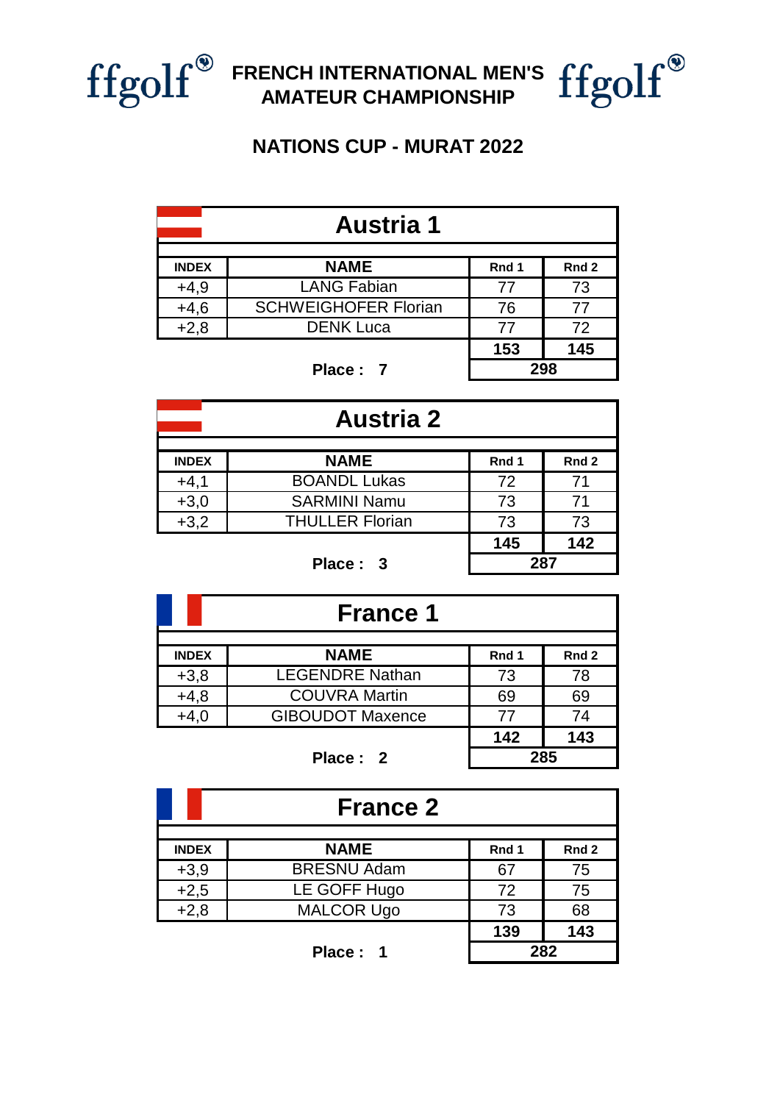

## **FRENCH INTERNATIONAL MEN'S AMATEUR CHAMPIONSHIP**

## **NATIONS CUP - MURAT 2022**

| <b>Austria 1</b>                                         |                             |     |     |  |  |
|----------------------------------------------------------|-----------------------------|-----|-----|--|--|
| <b>NAME</b><br><b>INDEX</b><br>Rnd 1<br>Rnd <sub>2</sub> |                             |     |     |  |  |
| $+4,9$                                                   | <b>LANG Fabian</b>          | 77  | 73  |  |  |
| $+4,6$                                                   | <b>SCHWEIGHOFER Florian</b> | 76  | 77  |  |  |
| $+2,8$                                                   | <b>DENK Luca</b>            | 77  | 72  |  |  |
|                                                          | 153                         | 145 |     |  |  |
|                                                          | Place: 7                    |     | 298 |  |  |

**Place : 7**

| <b>Austria 2</b>                                         |                        |    |    |  |  |
|----------------------------------------------------------|------------------------|----|----|--|--|
| <b>NAME</b><br><b>INDEX</b><br>Rnd 1<br>Rnd <sub>2</sub> |                        |    |    |  |  |
| $+4,1$                                                   | <b>BOANDL Lukas</b>    | 72 | 71 |  |  |
| $+3,0$                                                   | <b>SARMINI Namu</b>    | 73 | 71 |  |  |
| $+3,2$                                                   | <b>THULLER Florian</b> | 73 | 73 |  |  |
| 142<br>145                                               |                        |    |    |  |  |
|                                                          | 287<br>Place: 3        |    |    |  |  |

| <b>France 1</b>                                          |                         |     |     |  |  |  |
|----------------------------------------------------------|-------------------------|-----|-----|--|--|--|
| <b>NAME</b><br><b>INDEX</b><br>Rnd 1<br>Rnd <sub>2</sub> |                         |     |     |  |  |  |
| $+3,8$                                                   | <b>LEGENDRE Nathan</b>  | 73  | 78  |  |  |  |
| $+4,8$                                                   | <b>COUVRA Martin</b>    | 69  | 69  |  |  |  |
| $+4,0$                                                   | <b>GIBOUDOT Maxence</b> | 77  | 74  |  |  |  |
|                                                          |                         | 142 | 143 |  |  |  |
|                                                          | Place: 2                |     | 285 |  |  |  |

**Place : 2**

| <b>France 2</b>                                          |                    |     |     |  |  |
|----------------------------------------------------------|--------------------|-----|-----|--|--|
| <b>NAME</b><br><b>INDEX</b><br>Rnd 1<br>Rnd <sub>2</sub> |                    |     |     |  |  |
| $+3,9$                                                   | <b>BRESNU Adam</b> | 67  | 75  |  |  |
| $+2,5$                                                   | LE GOFF Hugo       | 72  | 75  |  |  |
| $+2,8$                                                   | <b>MALCOR Ugo</b>  | 73  | 68  |  |  |
|                                                          |                    | 139 | 143 |  |  |
|                                                          | Place: 1           | 282 |     |  |  |